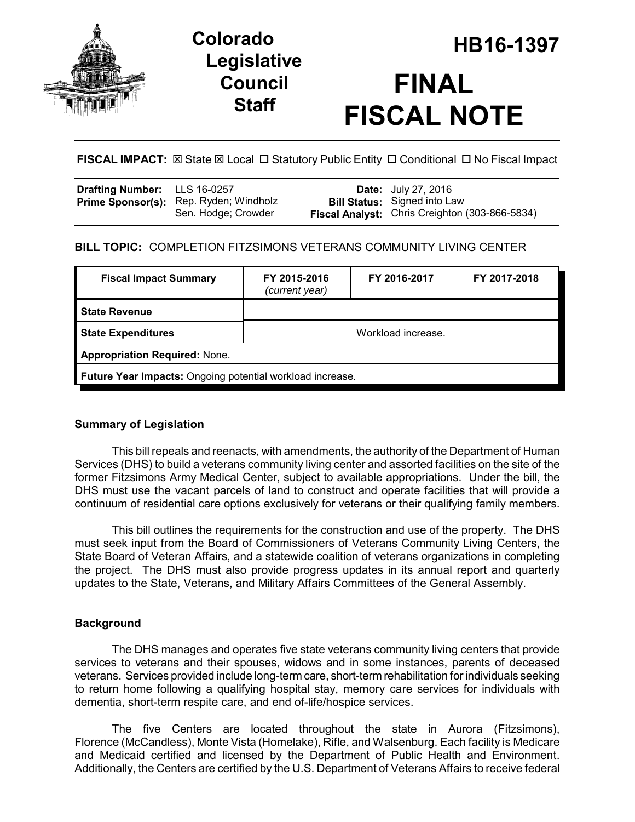

# **Legislative Council Staff**

# **HB16-1397 Colorado FINAL FISCAL NOTE**

**FISCAL IMPACT:** ⊠ State ⊠ Local □ Statutory Public Entity □ Conditional □ No Fiscal Impact

| Drafting Number: LLS 16-0257 |                                                               | <b>Date:</b> July 27, 2016                                                                   |
|------------------------------|---------------------------------------------------------------|----------------------------------------------------------------------------------------------|
|                              | Prime Sponsor(s): Rep. Ryden; Windholz<br>Sen. Hodge: Crowder | <b>Bill Status:</b> Signed into Law<br><b>Fiscal Analyst:</b> Chris Creighton (303-866-5834) |

# **BILL TOPIC:** COMPLETION FITZSIMONS VETERANS COMMUNITY LIVING CENTER

| <b>Fiscal Impact Summary</b>                              | FY 2015-2016<br>(current year) | FY 2016-2017 | FY 2017-2018 |  |  |
|-----------------------------------------------------------|--------------------------------|--------------|--------------|--|--|
| <b>State Revenue</b>                                      |                                |              |              |  |  |
| <b>State Expenditures</b>                                 | Workload increase.             |              |              |  |  |
| <b>Appropriation Required: None.</b>                      |                                |              |              |  |  |
| Future Year Impacts: Ongoing potential workload increase. |                                |              |              |  |  |

# **Summary of Legislation**

This bill repeals and reenacts, with amendments, the authority of the Department of Human Services (DHS) to build a veterans community living center and assorted facilities on the site of the former Fitzsimons Army Medical Center, subject to available appropriations. Under the bill, the DHS must use the vacant parcels of land to construct and operate facilities that will provide a continuum of residential care options exclusively for veterans or their qualifying family members.

This bill outlines the requirements for the construction and use of the property. The DHS must seek input from the Board of Commissioners of Veterans Community Living Centers, the State Board of Veteran Affairs, and a statewide coalition of veterans organizations in completing the project. The DHS must also provide progress updates in its annual report and quarterly updates to the State, Veterans, and Military Affairs Committees of the General Assembly.

# **Background**

The DHS manages and operates five state veterans community living centers that provide services to veterans and their spouses, widows and in some instances, parents of deceased veterans. Services provided include long-term care, short-term rehabilitation for individuals seeking to return home following a qualifying hospital stay, memory care services for individuals with dementia, short-term respite care, and end of-life/hospice services.

The five Centers are located throughout the state in Aurora (Fitzsimons), Florence (McCandless), Monte Vista (Homelake), Rifle, and Walsenburg. Each facility is Medicare and Medicaid certified and licensed by the Department of Public Health and Environment. Additionally, the Centers are certified by the U.S. Department of Veterans Affairs to receive federal